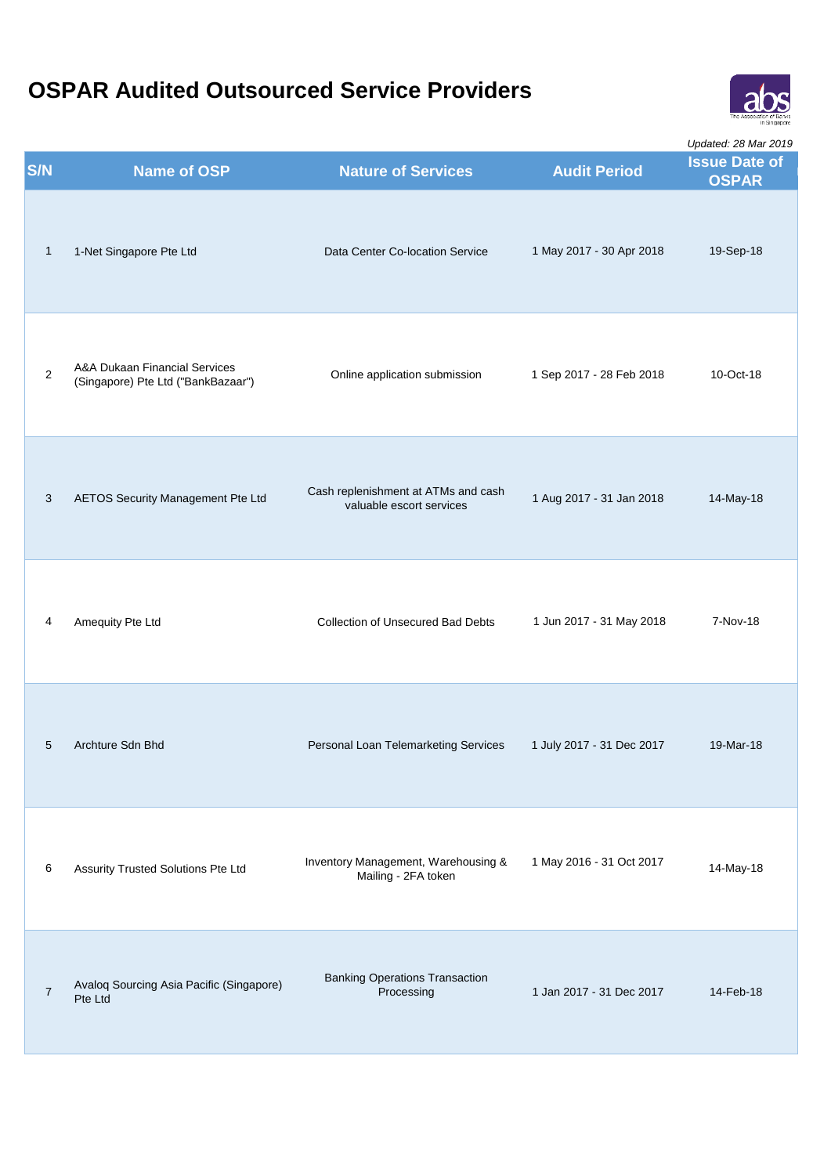

| S/N             | <b>Name of OSP</b>                                                  | <b>Nature of Services</b>                                       | <b>Audit Period</b>       | Opualed. Zo Mar ZO 19<br><b>Issue Date of</b><br><b>OSPAR</b> |
|-----------------|---------------------------------------------------------------------|-----------------------------------------------------------------|---------------------------|---------------------------------------------------------------|
| $\mathbf{1}$    | 1-Net Singapore Pte Ltd                                             | Data Center Co-location Service                                 | 1 May 2017 - 30 Apr 2018  | 19-Sep-18                                                     |
| $\overline{2}$  | A&A Dukaan Financial Services<br>(Singapore) Pte Ltd ("BankBazaar") | Online application submission                                   | 1 Sep 2017 - 28 Feb 2018  | 10-Oct-18                                                     |
| 3               | AETOS Security Management Pte Ltd                                   | Cash replenishment at ATMs and cash<br>valuable escort services | 1 Aug 2017 - 31 Jan 2018  | 14-May-18                                                     |
| 4               | Amequity Pte Ltd                                                    | <b>Collection of Unsecured Bad Debts</b>                        | 1 Jun 2017 - 31 May 2018  | 7-Nov-18                                                      |
| $5\phantom{.0}$ | Archture Sdn Bhd                                                    | Personal Loan Telemarketing Services                            | 1 July 2017 - 31 Dec 2017 | 19-Mar-18                                                     |
| 6               | Assurity Trusted Solutions Pte Ltd                                  | Inventory Management, Warehousing &<br>Mailing - 2FA token      | 1 May 2016 - 31 Oct 2017  | 14-May-18                                                     |
| $\overline{7}$  | Avaloq Sourcing Asia Pacific (Singapore)<br>Pte Ltd                 | <b>Banking Operations Transaction</b><br>Processing             | 1 Jan 2017 - 31 Dec 2017  | 14-Feb-18                                                     |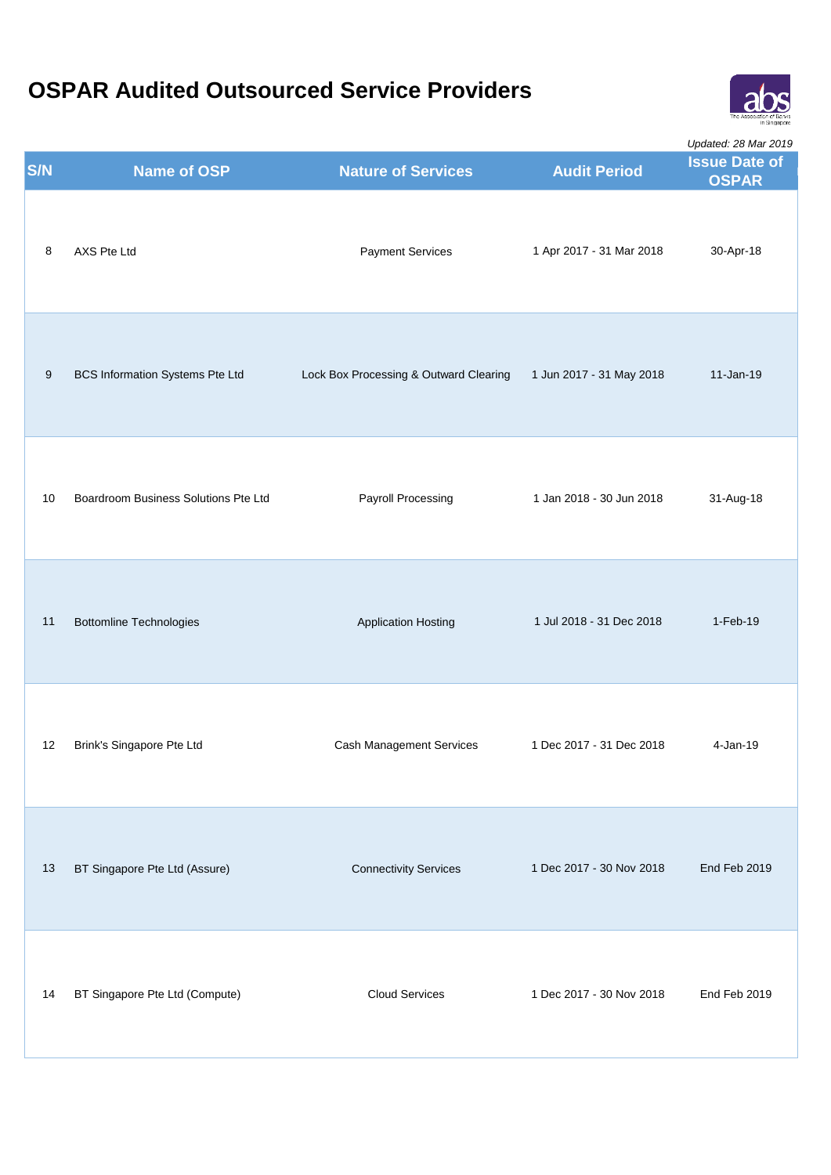

|            |                                        |                                        |                          | Updated: 28 Mar 2019                 |
|------------|----------------------------------------|----------------------------------------|--------------------------|--------------------------------------|
| <b>S/N</b> | <b>Name of OSP</b>                     | <b>Nature of Services</b>              | <b>Audit Period</b>      | <b>Issue Date of</b><br><b>OSPAR</b> |
| 8          | AXS Pte Ltd                            | <b>Payment Services</b>                | 1 Apr 2017 - 31 Mar 2018 | 30-Apr-18                            |
| 9          | <b>BCS Information Systems Pte Ltd</b> | Lock Box Processing & Outward Clearing | 1 Jun 2017 - 31 May 2018 | 11-Jan-19                            |
| 10         | Boardroom Business Solutions Pte Ltd   | Payroll Processing                     | 1 Jan 2018 - 30 Jun 2018 | 31-Aug-18                            |
| 11         | <b>Bottomline Technologies</b>         | <b>Application Hosting</b>             | 1 Jul 2018 - 31 Dec 2018 | 1-Feb-19                             |
| 12         | Brink's Singapore Pte Ltd              | Cash Management Services               | 1 Dec 2017 - 31 Dec 2018 | 4-Jan-19                             |
| 13         | BT Singapore Pte Ltd (Assure)          | <b>Connectivity Services</b>           | 1 Dec 2017 - 30 Nov 2018 | End Feb 2019                         |
| 14         | BT Singapore Pte Ltd (Compute)         | <b>Cloud Services</b>                  | 1 Dec 2017 - 30 Nov 2018 | End Feb 2019                         |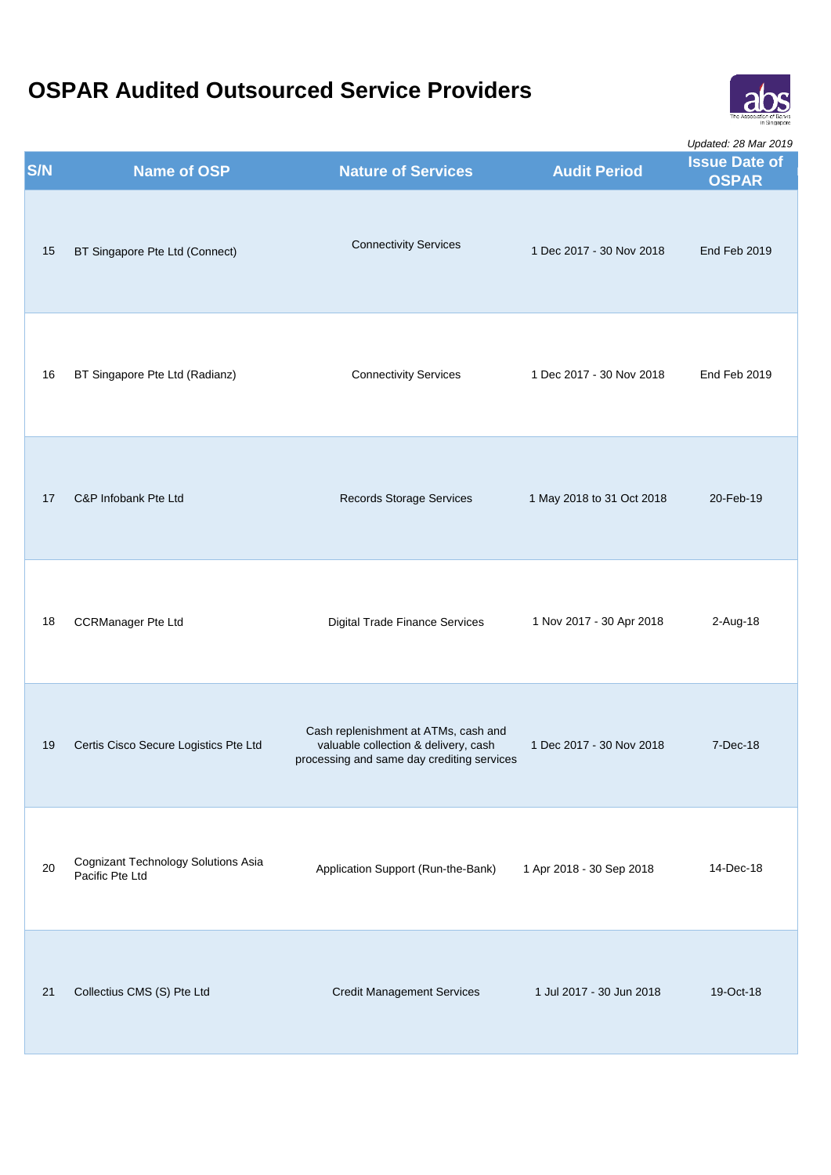

|            |                                                        |                                                                                                                            |                           | Updated: 28 Mar 2019                 |
|------------|--------------------------------------------------------|----------------------------------------------------------------------------------------------------------------------------|---------------------------|--------------------------------------|
| <b>S/N</b> | <b>Name of OSP</b>                                     | <b>Nature of Services</b>                                                                                                  | <b>Audit Period</b>       | <b>Issue Date of</b><br><b>OSPAR</b> |
| 15         | BT Singapore Pte Ltd (Connect)                         | <b>Connectivity Services</b>                                                                                               | 1 Dec 2017 - 30 Nov 2018  | End Feb 2019                         |
| 16         | BT Singapore Pte Ltd (Radianz)                         | <b>Connectivity Services</b>                                                                                               | 1 Dec 2017 - 30 Nov 2018  | End Feb 2019                         |
| 17         | C&P Infobank Pte Ltd                                   | Records Storage Services                                                                                                   | 1 May 2018 to 31 Oct 2018 | 20-Feb-19                            |
| 18         | <b>CCRManager Pte Ltd</b>                              | <b>Digital Trade Finance Services</b>                                                                                      | 1 Nov 2017 - 30 Apr 2018  | 2-Aug-18                             |
| 19         | Certis Cisco Secure Logistics Pte Ltd                  | Cash replenishment at ATMs, cash and<br>valuable collection & delivery, cash<br>processing and same day crediting services | 1 Dec 2017 - 30 Nov 2018  | 7-Dec-18                             |
| 20         | Cognizant Technology Solutions Asia<br>Pacific Pte Ltd | Application Support (Run-the-Bank)                                                                                         | 1 Apr 2018 - 30 Sep 2018  | 14-Dec-18                            |
| 21         | Collectius CMS (S) Pte Ltd                             | <b>Credit Management Services</b>                                                                                          | 1 Jul 2017 - 30 Jun 2018  | 19-Oct-18                            |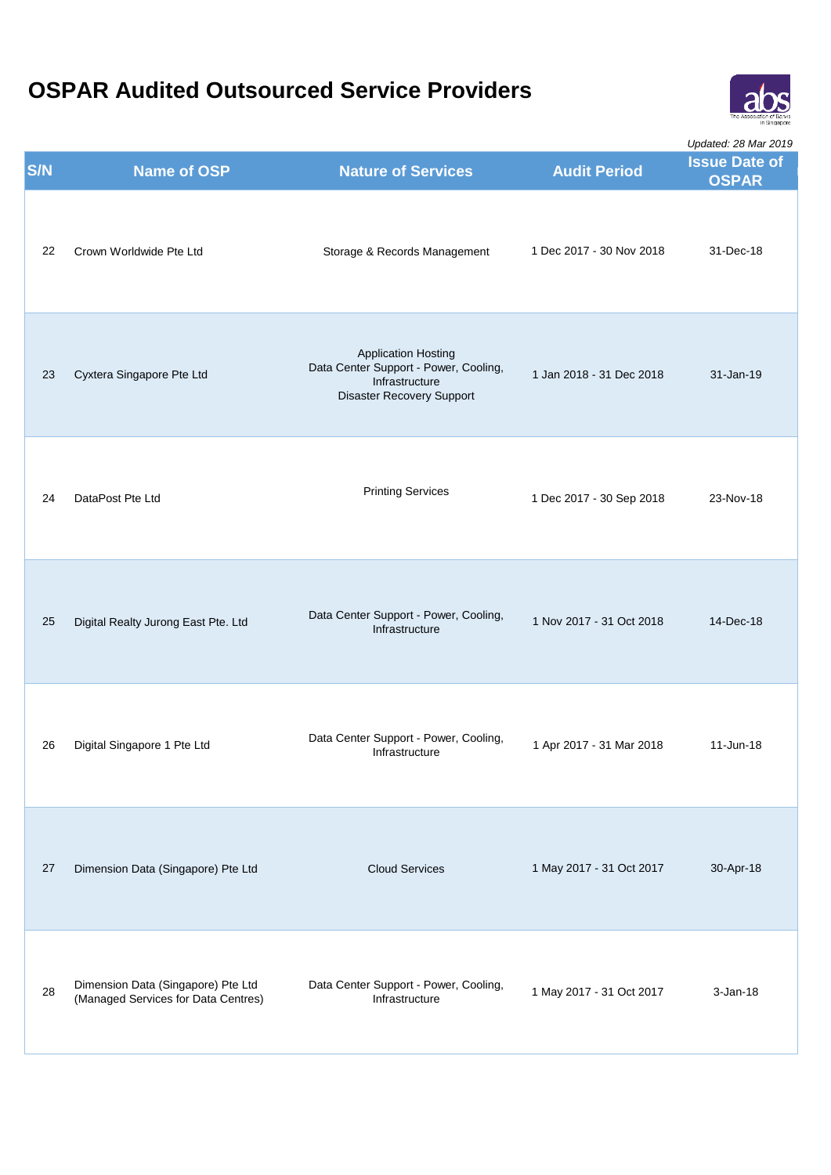

|     |                                                                           |                                                                                                                    |                          | Updated: 28 Mar 2019                 |
|-----|---------------------------------------------------------------------------|--------------------------------------------------------------------------------------------------------------------|--------------------------|--------------------------------------|
| S/N | <b>Name of OSP</b>                                                        | <b>Nature of Services</b>                                                                                          | <b>Audit Period</b>      | <b>Issue Date of</b><br><b>OSPAR</b> |
| 22  | Crown Worldwide Pte Ltd                                                   | Storage & Records Management                                                                                       | 1 Dec 2017 - 30 Nov 2018 | 31-Dec-18                            |
| 23  | Cyxtera Singapore Pte Ltd                                                 | <b>Application Hosting</b><br>Data Center Support - Power, Cooling,<br>Infrastructure<br>Disaster Recovery Support | 1 Jan 2018 - 31 Dec 2018 | 31-Jan-19                            |
| 24  | DataPost Pte Ltd                                                          | <b>Printing Services</b>                                                                                           | 1 Dec 2017 - 30 Sep 2018 | 23-Nov-18                            |
| 25  | Digital Realty Jurong East Pte. Ltd                                       | Data Center Support - Power, Cooling,<br>Infrastructure                                                            | 1 Nov 2017 - 31 Oct 2018 | 14-Dec-18                            |
| 26  | Digital Singapore 1 Pte Ltd                                               | Data Center Support - Power, Cooling,<br>Infrastructure                                                            | 1 Apr 2017 - 31 Mar 2018 | 11-Jun-18                            |
| 27  | Dimension Data (Singapore) Pte Ltd                                        | <b>Cloud Services</b>                                                                                              | 1 May 2017 - 31 Oct 2017 | 30-Apr-18                            |
| 28  | Dimension Data (Singapore) Pte Ltd<br>(Managed Services for Data Centres) | Data Center Support - Power, Cooling,<br>Infrastructure                                                            | 1 May 2017 - 31 Oct 2017 | $3$ -Jan-18                          |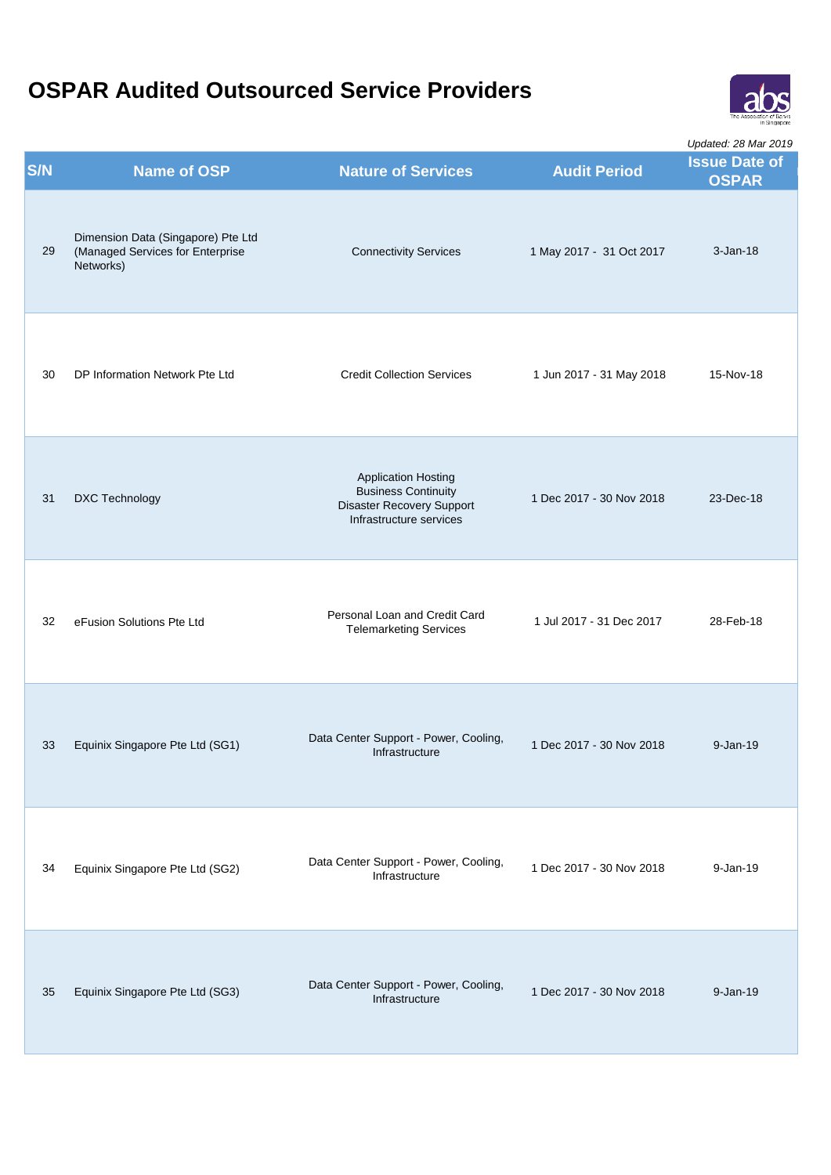

| <b>S/N</b> | <b>Name of OSP</b>                                                                  | <b>Nature of Services</b>                                                                                               | <b>Audit Period</b>      | <i>Updated: 28 Mar 2019</i><br><b>Issue Date of</b><br><b>OSPAR</b> |
|------------|-------------------------------------------------------------------------------------|-------------------------------------------------------------------------------------------------------------------------|--------------------------|---------------------------------------------------------------------|
| 29         | Dimension Data (Singapore) Pte Ltd<br>(Managed Services for Enterprise<br>Networks) | <b>Connectivity Services</b>                                                                                            | 1 May 2017 - 31 Oct 2017 | $3 - Jan - 18$                                                      |
| 30         | DP Information Network Pte Ltd                                                      | <b>Credit Collection Services</b>                                                                                       | 1 Jun 2017 - 31 May 2018 | 15-Nov-18                                                           |
| 31         | DXC Technology                                                                      | <b>Application Hosting</b><br><b>Business Continuity</b><br><b>Disaster Recovery Support</b><br>Infrastructure services | 1 Dec 2017 - 30 Nov 2018 | 23-Dec-18                                                           |
| 32         | eFusion Solutions Pte Ltd                                                           | Personal Loan and Credit Card<br><b>Telemarketing Services</b>                                                          | 1 Jul 2017 - 31 Dec 2017 | 28-Feb-18                                                           |
| 33         | Equinix Singapore Pte Ltd (SG1)                                                     | Data Center Support - Power, Cooling,<br>Infrastructure                                                                 | 1 Dec 2017 - 30 Nov 2018 | $9 - Jan - 19$                                                      |
| 34         | Equinix Singapore Pte Ltd (SG2)                                                     | Data Center Support - Power, Cooling,<br>Infrastructure                                                                 | 1 Dec 2017 - 30 Nov 2018 | $9 - Jan - 19$                                                      |
| 35         | Equinix Singapore Pte Ltd (SG3)                                                     | Data Center Support - Power, Cooling,<br>Infrastructure                                                                 | 1 Dec 2017 - 30 Nov 2018 | $9 - Jan - 19$                                                      |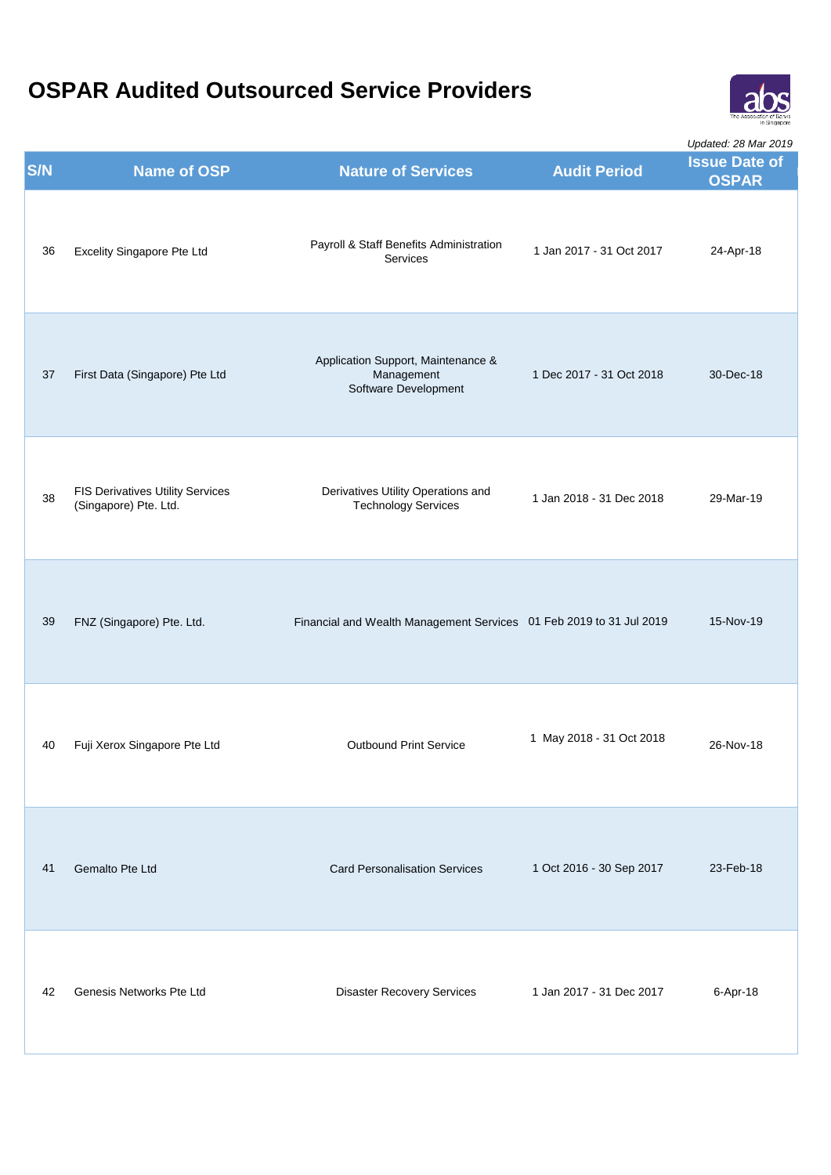

|     |                                                                  |                                                                          |                          | Updated: 28 Mar 2019                 |
|-----|------------------------------------------------------------------|--------------------------------------------------------------------------|--------------------------|--------------------------------------|
| S/N | <b>Name of OSP</b>                                               | <b>Nature of Services</b>                                                | <b>Audit Period</b>      | <b>Issue Date of</b><br><b>OSPAR</b> |
| 36  | Excelity Singapore Pte Ltd                                       | Payroll & Staff Benefits Administration<br>Services                      | 1 Jan 2017 - 31 Oct 2017 | 24-Apr-18                            |
| 37  | First Data (Singapore) Pte Ltd                                   | Application Support, Maintenance &<br>Management<br>Software Development | 1 Dec 2017 - 31 Oct 2018 | 30-Dec-18                            |
| 38  | <b>FIS Derivatives Utility Services</b><br>(Singapore) Pte. Ltd. | Derivatives Utility Operations and<br><b>Technology Services</b>         | 1 Jan 2018 - 31 Dec 2018 | 29-Mar-19                            |
| 39  | FNZ (Singapore) Pte. Ltd.                                        | Financial and Wealth Management Services 01 Feb 2019 to 31 Jul 2019      |                          | 15-Nov-19                            |
| 40  | Fuji Xerox Singapore Pte Ltd                                     | <b>Outbound Print Service</b>                                            | 1 May 2018 - 31 Oct 2018 | 26-Nov-18                            |
| 41  | Gemalto Pte Ltd                                                  | <b>Card Personalisation Services</b>                                     | 1 Oct 2016 - 30 Sep 2017 | 23-Feb-18                            |
| 42  | Genesis Networks Pte Ltd                                         | <b>Disaster Recovery Services</b>                                        | 1 Jan 2017 - 31 Dec 2017 | 6-Apr-18                             |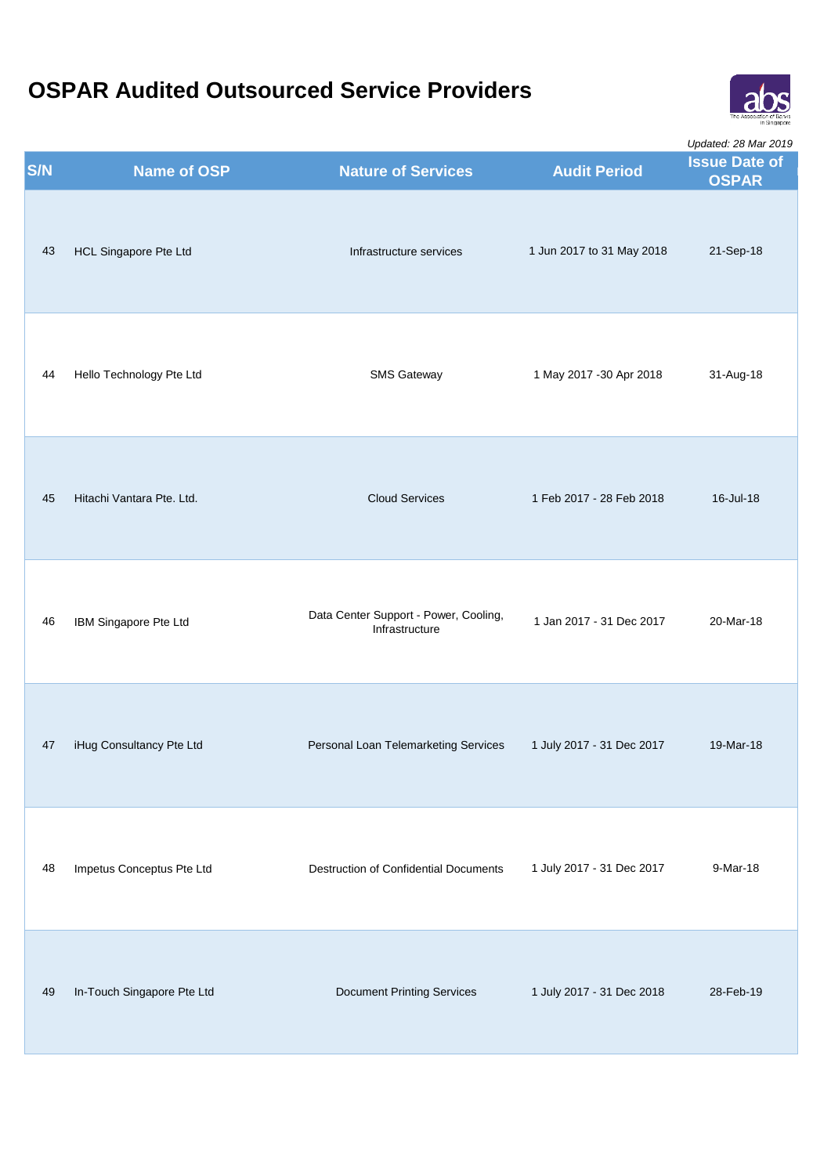

|     |                            |                                                         |                           | Updated: 28 Mar 2019                 |
|-----|----------------------------|---------------------------------------------------------|---------------------------|--------------------------------------|
| S/N | <b>Name of OSP</b>         | <b>Nature of Services</b>                               | <b>Audit Period</b>       | <b>Issue Date of</b><br><b>OSPAR</b> |
| 43  | HCL Singapore Pte Ltd      | Infrastructure services                                 | 1 Jun 2017 to 31 May 2018 | 21-Sep-18                            |
| 44  | Hello Technology Pte Ltd   | <b>SMS Gateway</b>                                      | 1 May 2017 - 30 Apr 2018  | 31-Aug-18                            |
| 45  | Hitachi Vantara Pte. Ltd.  | <b>Cloud Services</b>                                   | 1 Feb 2017 - 28 Feb 2018  | 16-Jul-18                            |
| 46  | IBM Singapore Pte Ltd      | Data Center Support - Power, Cooling,<br>Infrastructure | 1 Jan 2017 - 31 Dec 2017  | 20-Mar-18                            |
| 47  | iHug Consultancy Pte Ltd   | Personal Loan Telemarketing Services                    | 1 July 2017 - 31 Dec 2017 | 19-Mar-18                            |
| 48  | Impetus Conceptus Pte Ltd  | <b>Destruction of Confidential Documents</b>            | 1 July 2017 - 31 Dec 2017 | 9-Mar-18                             |
| 49  | In-Touch Singapore Pte Ltd | <b>Document Printing Services</b>                       | 1 July 2017 - 31 Dec 2018 | 28-Feb-19                            |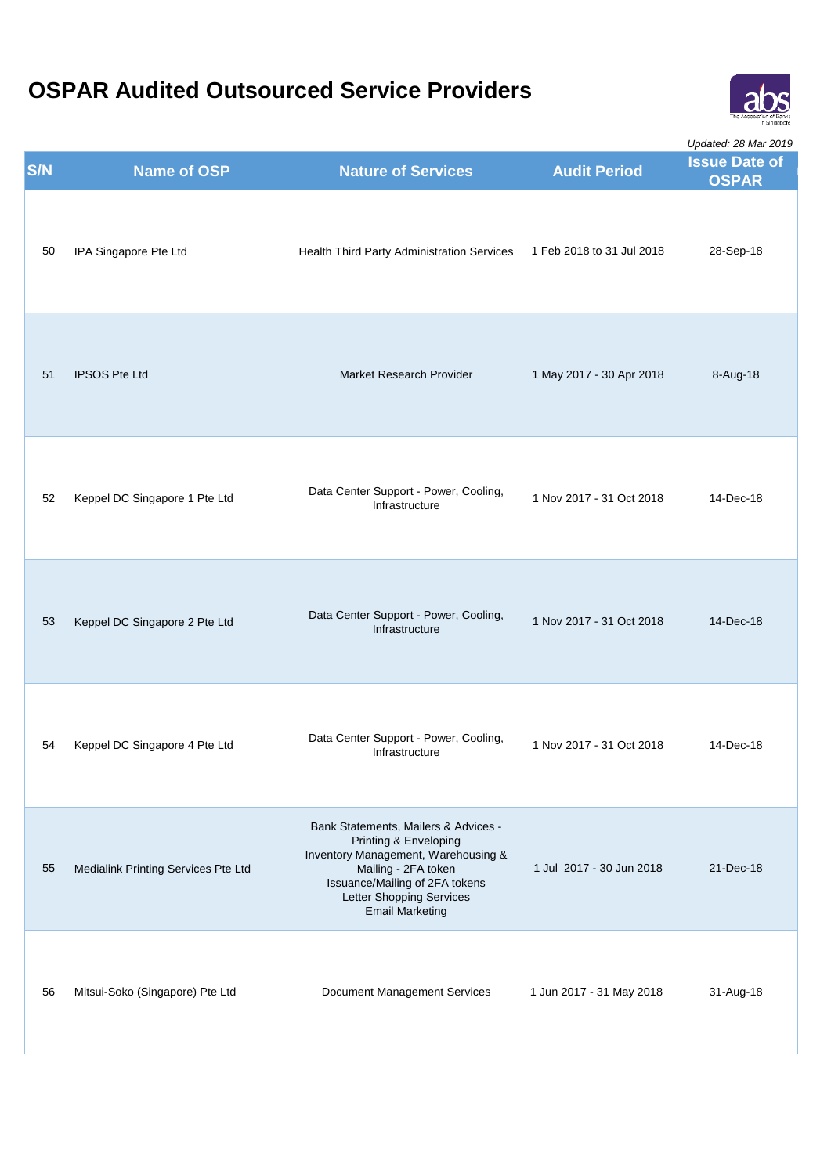

|     |                                     |                                                                                                                                                                                                                     |                           | <i>Updated: 28 Mar 2019</i>          |
|-----|-------------------------------------|---------------------------------------------------------------------------------------------------------------------------------------------------------------------------------------------------------------------|---------------------------|--------------------------------------|
| S/N | <b>Name of OSP</b>                  | <b>Nature of Services</b>                                                                                                                                                                                           | <b>Audit Period</b>       | <b>Issue Date of</b><br><b>OSPAR</b> |
| 50  | IPA Singapore Pte Ltd               | Health Third Party Administration Services                                                                                                                                                                          | 1 Feb 2018 to 31 Jul 2018 | 28-Sep-18                            |
| 51  | <b>IPSOS Pte Ltd</b>                | Market Research Provider                                                                                                                                                                                            | 1 May 2017 - 30 Apr 2018  | 8-Aug-18                             |
| 52  | Keppel DC Singapore 1 Pte Ltd       | Data Center Support - Power, Cooling,<br>Infrastructure                                                                                                                                                             | 1 Nov 2017 - 31 Oct 2018  | 14-Dec-18                            |
| 53  | Keppel DC Singapore 2 Pte Ltd       | Data Center Support - Power, Cooling,<br>Infrastructure                                                                                                                                                             | 1 Nov 2017 - 31 Oct 2018  | 14-Dec-18                            |
| 54  | Keppel DC Singapore 4 Pte Ltd       | Data Center Support - Power, Cooling,<br>Infrastructure                                                                                                                                                             | 1 Nov 2017 - 31 Oct 2018  | 14-Dec-18                            |
| 55  | Medialink Printing Services Pte Ltd | Bank Statements, Mailers & Advices -<br>Printing & Enveloping<br>Inventory Management, Warehousing &<br>Mailing - 2FA token<br>Issuance/Mailing of 2FA tokens<br>Letter Shopping Services<br><b>Email Marketing</b> | 1 Jul 2017 - 30 Jun 2018  | 21-Dec-18                            |
| 56  | Mitsui-Soko (Singapore) Pte Ltd     | Document Management Services                                                                                                                                                                                        | 1 Jun 2017 - 31 May 2018  | 31-Aug-18                            |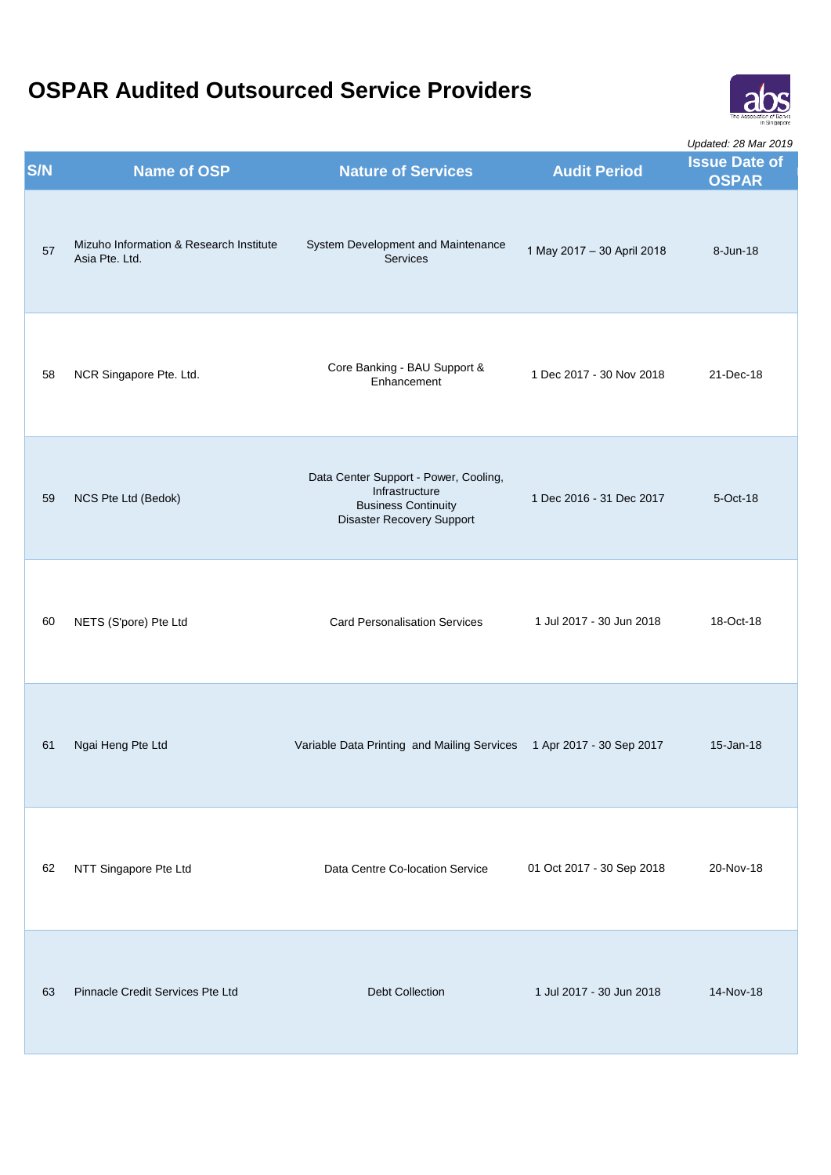

| <b>S/N</b> | <b>Name of OSP</b>                                        | <b>Nature of Services</b>                                                                                                 | <b>Audit Period</b>        | Opualed. Zo Mar ZO 19<br><b>Issue Date of</b><br><b>OSPAR</b> |
|------------|-----------------------------------------------------------|---------------------------------------------------------------------------------------------------------------------------|----------------------------|---------------------------------------------------------------|
| 57         | Mizuho Information & Research Institute<br>Asia Pte. Ltd. | System Development and Maintenance<br>Services                                                                            | 1 May 2017 - 30 April 2018 | 8-Jun-18                                                      |
| 58         | NCR Singapore Pte. Ltd.                                   | Core Banking - BAU Support &<br>Enhancement                                                                               | 1 Dec 2017 - 30 Nov 2018   | 21-Dec-18                                                     |
| 59         | NCS Pte Ltd (Bedok)                                       | Data Center Support - Power, Cooling,<br>Infrastructure<br><b>Business Continuity</b><br><b>Disaster Recovery Support</b> | 1 Dec 2016 - 31 Dec 2017   | 5-Oct-18                                                      |
| 60         | NETS (S'pore) Pte Ltd                                     | <b>Card Personalisation Services</b>                                                                                      | 1 Jul 2017 - 30 Jun 2018   | 18-Oct-18                                                     |
| 61         | Ngai Heng Pte Ltd                                         | Variable Data Printing and Mailing Services 1 Apr 2017 - 30 Sep 2017                                                      |                            | 15-Jan-18                                                     |
| 62         | NTT Singapore Pte Ltd                                     | Data Centre Co-location Service                                                                                           | 01 Oct 2017 - 30 Sep 2018  | 20-Nov-18                                                     |
| 63         | <b>Pinnacle Credit Services Pte Ltd</b>                   | <b>Debt Collection</b>                                                                                                    | 1 Jul 2017 - 30 Jun 2018   | 14-Nov-18                                                     |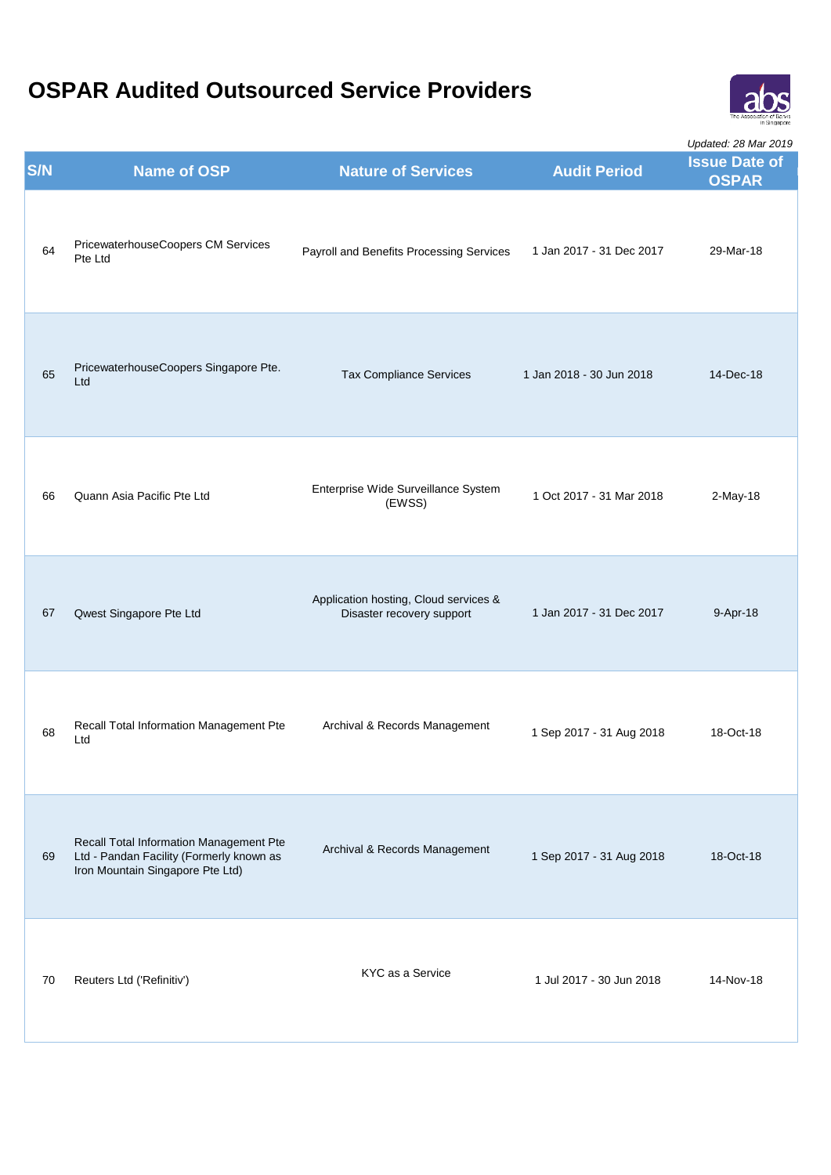

| <b>S/N</b> | <b>Name of OSP</b>                                                                                                      | <b>Nature of Services</b>                                          | <b>Audit Period</b>      | Opualed. Zo Mar ZO 19<br><b>Issue Date of</b><br><b>OSPAR</b> |
|------------|-------------------------------------------------------------------------------------------------------------------------|--------------------------------------------------------------------|--------------------------|---------------------------------------------------------------|
| 64         | PricewaterhouseCoopers CM Services<br>Pte Ltd                                                                           | Payroll and Benefits Processing Services                           | 1 Jan 2017 - 31 Dec 2017 | 29-Mar-18                                                     |
| 65         | PricewaterhouseCoopers Singapore Pte.<br>Ltd                                                                            | <b>Tax Compliance Services</b>                                     | 1 Jan 2018 - 30 Jun 2018 | 14-Dec-18                                                     |
| 66         | Quann Asia Pacific Pte Ltd                                                                                              | Enterprise Wide Surveillance System<br>(EWSS)                      | 1 Oct 2017 - 31 Mar 2018 | 2-May-18                                                      |
| 67         | Qwest Singapore Pte Ltd                                                                                                 | Application hosting, Cloud services &<br>Disaster recovery support | 1 Jan 2017 - 31 Dec 2017 | 9-Apr-18                                                      |
| 68         | Recall Total Information Management Pte<br>Ltd                                                                          | Archival & Records Management                                      | 1 Sep 2017 - 31 Aug 2018 | 18-Oct-18                                                     |
| 69         | Recall Total Information Management Pte<br>Ltd - Pandan Facility (Formerly known as<br>Iron Mountain Singapore Pte Ltd) | Archival & Records Management                                      | 1 Sep 2017 - 31 Aug 2018 | 18-Oct-18                                                     |
| 70         | Reuters Ltd ('Refinitiv')                                                                                               | KYC as a Service                                                   | 1 Jul 2017 - 30 Jun 2018 | 14-Nov-18                                                     |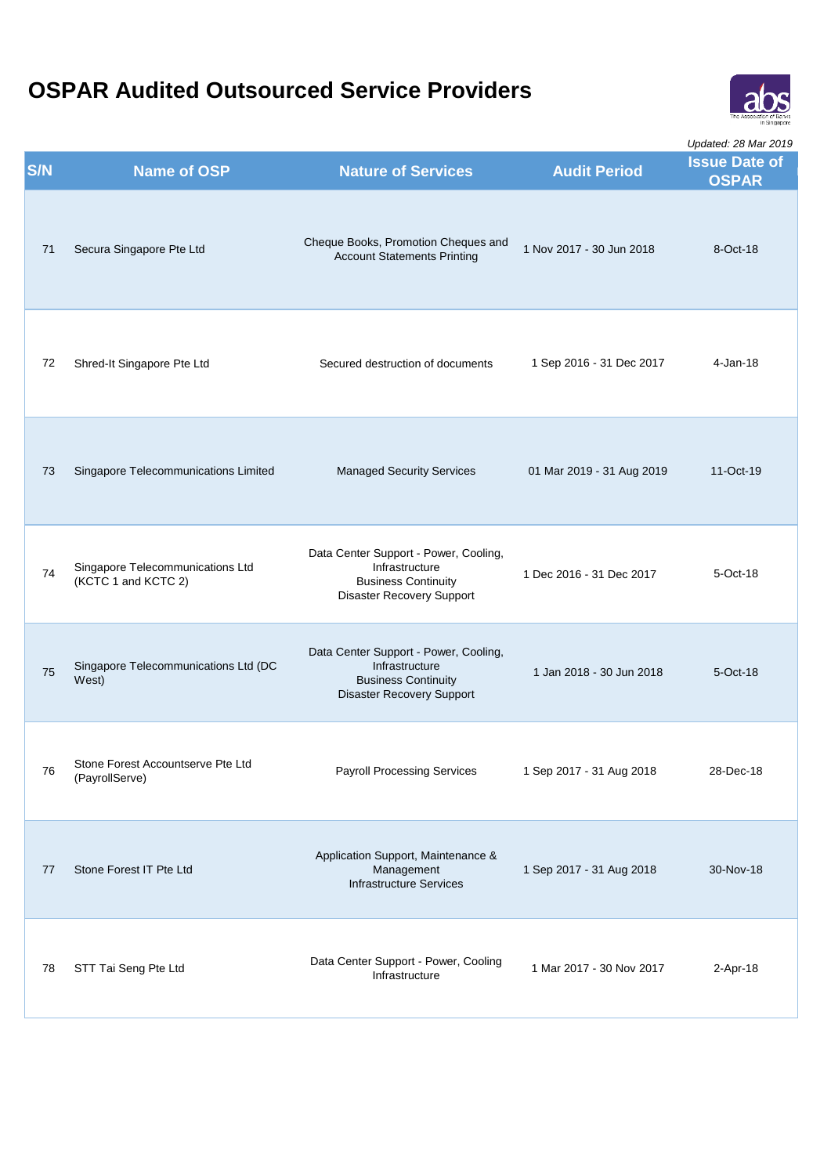

| <b>S/N</b> | <b>Name of OSP</b>                                      | <b>Nature of Services</b>                                                                                                 | <b>Audit Period</b>       | Opualcu. Zo ivial ZOTJ<br><b>Issue Date of</b><br><b>OSPAR</b> |
|------------|---------------------------------------------------------|---------------------------------------------------------------------------------------------------------------------------|---------------------------|----------------------------------------------------------------|
| 71         | Secura Singapore Pte Ltd                                | Cheque Books, Promotion Cheques and<br><b>Account Statements Printing</b>                                                 | 1 Nov 2017 - 30 Jun 2018  | 8-Oct-18                                                       |
| 72         | Shred-It Singapore Pte Ltd                              | Secured destruction of documents                                                                                          | 1 Sep 2016 - 31 Dec 2017  | 4-Jan-18                                                       |
| 73         | Singapore Telecommunications Limited                    | <b>Managed Security Services</b>                                                                                          | 01 Mar 2019 - 31 Aug 2019 | 11-Oct-19                                                      |
| 74         | Singapore Telecommunications Ltd<br>(KCTC 1 and KCTC 2) | Data Center Support - Power, Cooling,<br>Infrastructure<br><b>Business Continuity</b><br>Disaster Recovery Support        | 1 Dec 2016 - 31 Dec 2017  | 5-Oct-18                                                       |
| 75         | Singapore Telecommunications Ltd (DC<br>West)           | Data Center Support - Power, Cooling,<br>Infrastructure<br><b>Business Continuity</b><br><b>Disaster Recovery Support</b> | 1 Jan 2018 - 30 Jun 2018  | 5-Oct-18                                                       |
| 76         | Stone Forest Accountserve Pte Ltd<br>(PayrollServe)     | <b>Payroll Processing Services</b>                                                                                        | 1 Sep 2017 - 31 Aug 2018  | 28-Dec-18                                                      |
| 77         | Stone Forest IT Pte Ltd                                 | Application Support, Maintenance &<br>Management<br><b>Infrastructure Services</b>                                        | 1 Sep 2017 - 31 Aug 2018  | 30-Nov-18                                                      |
| 78         | STT Tai Seng Pte Ltd                                    | Data Center Support - Power, Cooling<br>Infrastructure                                                                    | 1 Mar 2017 - 30 Nov 2017  | 2-Apr-18                                                       |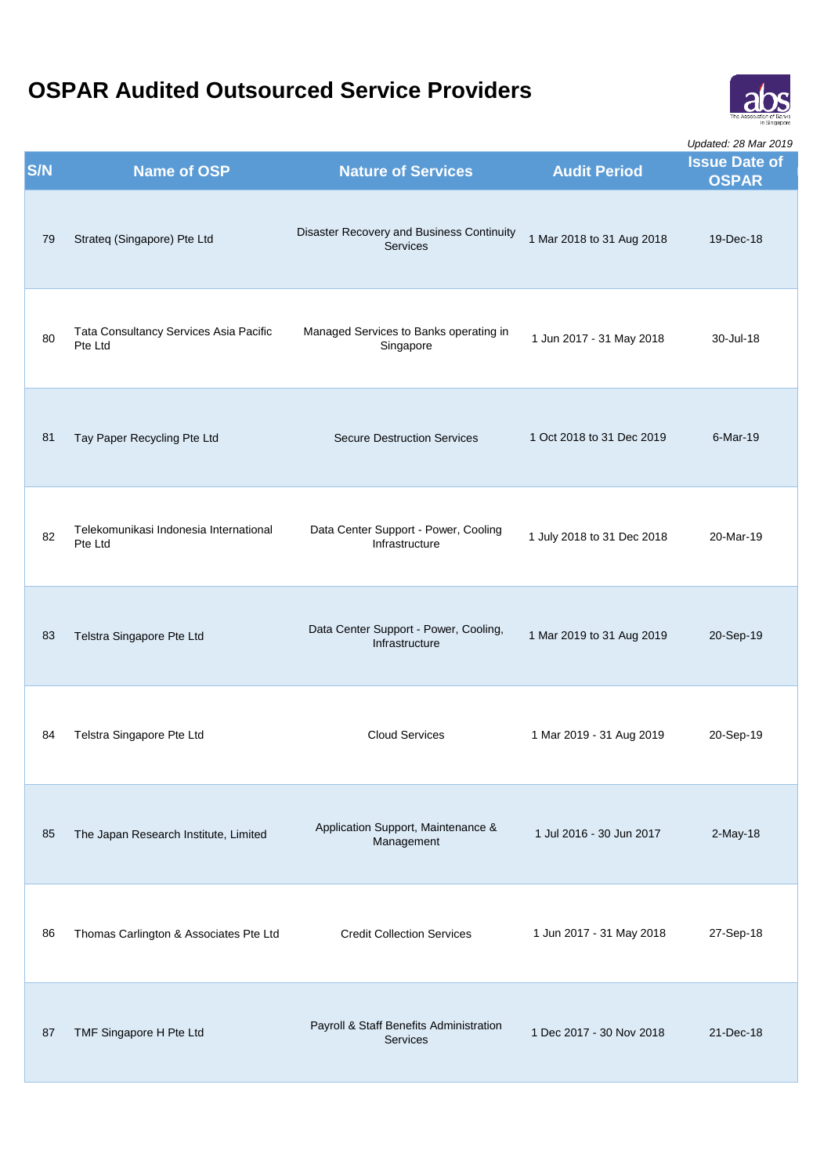

| <b>S/N</b> | <b>Name of OSP</b>                                | <b>Nature of Services</b>                                  | <b>Audit Period</b>        | Opualed. Zo Mar ZO 19<br><b>Issue Date of</b><br><b>OSPAR</b> |
|------------|---------------------------------------------------|------------------------------------------------------------|----------------------------|---------------------------------------------------------------|
| 79         | Strateq (Singapore) Pte Ltd                       | Disaster Recovery and Business Continuity<br>Services      | 1 Mar 2018 to 31 Aug 2018  | 19-Dec-18                                                     |
| 80         | Tata Consultancy Services Asia Pacific<br>Pte Ltd | Managed Services to Banks operating in<br>Singapore        | 1 Jun 2017 - 31 May 2018   | 30-Jul-18                                                     |
| 81         | Tay Paper Recycling Pte Ltd                       | <b>Secure Destruction Services</b>                         | 1 Oct 2018 to 31 Dec 2019  | 6-Mar-19                                                      |
| 82         | Telekomunikasi Indonesia International<br>Pte Ltd | Data Center Support - Power, Cooling<br>Infrastructure     | 1 July 2018 to 31 Dec 2018 | 20-Mar-19                                                     |
| 83         | Telstra Singapore Pte Ltd                         | Data Center Support - Power, Cooling,<br>Infrastructure    | 1 Mar 2019 to 31 Aug 2019  | 20-Sep-19                                                     |
| 84         | Telstra Singapore Pte Ltd                         | <b>Cloud Services</b>                                      | 1 Mar 2019 - 31 Aug 2019   | 20-Sep-19                                                     |
| 85         | The Japan Research Institute, Limited             | Application Support, Maintenance &<br>Management           | 1 Jul 2016 - 30 Jun 2017   | $2-May-18$                                                    |
| 86         | Thomas Carlington & Associates Pte Ltd            | <b>Credit Collection Services</b>                          | 1 Jun 2017 - 31 May 2018   | 27-Sep-18                                                     |
| 87         | TMF Singapore H Pte Ltd                           | Payroll & Staff Benefits Administration<br><b>Services</b> | 1 Dec 2017 - 30 Nov 2018   | 21-Dec-18                                                     |